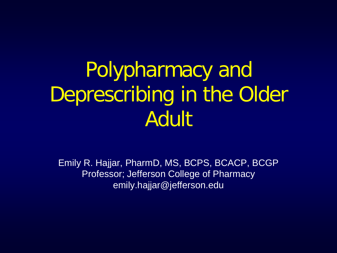#### Polypharmacy and Deprescribing in the Older Adult

Emily R. Hajjar, PharmD, MS, BCPS, BCACP, BCGP Professor; Jefferson College of Pharmacy emily.hajjar@jefferson.edu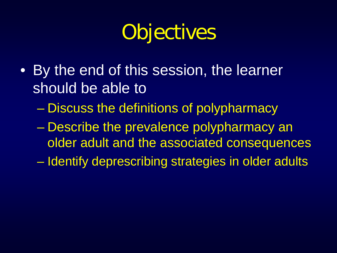### **Objectives**

- By the end of this session, the learner should be able to
	- Discuss the definitions of polypharmacy
	- Describe the prevalence polypharmacy an older adult and the associated consequences
	- Identify deprescribing strategies in older adults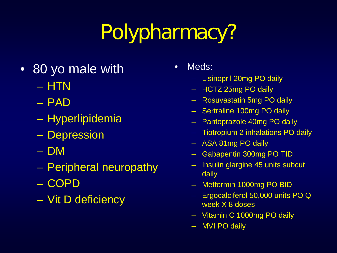# Polypharmacy?

- 80 yo male with
	- HTN
	- PAD
	- Hyperlipidemia
	- Depression
	- DM
	- Peripheral neuropathy
	- COPD
	- Vit D deficiency
- Meds:
	- Lisinopril 20mg PO daily
	- HCTZ 25mg PO daily
	- Rosuvastatin 5mg PO daily
	- Sertraline 100mg PO daily
	- Pantoprazole 40mg PO daily
	- Tiotropium 2 inhalations PO daily
	- ASA 81mg PO daily
	- Gabapentin 300mg PO TID
	- Insulin glargine 45 units subcut daily
	- Metformin 1000mg PO BID
	- Ergocalciferol 50,000 units PO Q week X 8 doses
	- Vitamin C 1000mg PO daily
	- MVI PO daily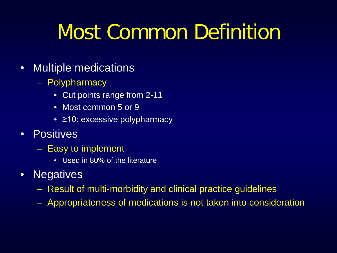#### Most Common Definition

#### • Multiple medications

- Polypharmacy
	- Cut points range from 2-11
	- Most common 5 or 9
	- ≥10: excessive polypharmacy
- Positives
	- Easy to implement
		- Used in 80% of the literature
- Negatives
	- Result of multi-morbidity and clinical practice guidelines
	- Appropriateness of medications is not taken into consideration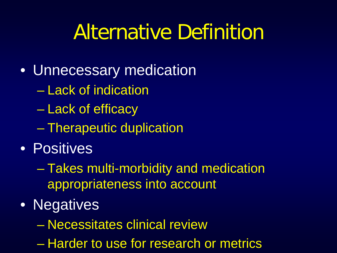#### Alternative Definition

- Unnecessary medication
	- Lack of indication
	- Lack of efficacy
	- Therapeutic duplication
- Positives
	- Takes multi-morbidity and medication appropriateness into account
- Negatives
	- Necessitates clinical review
	- Harder to use for research or metrics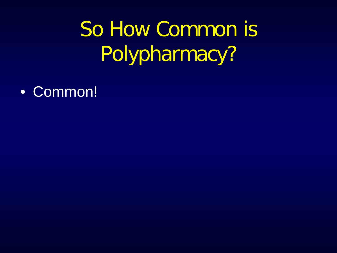## So How Common is Polypharmacy?

• Common!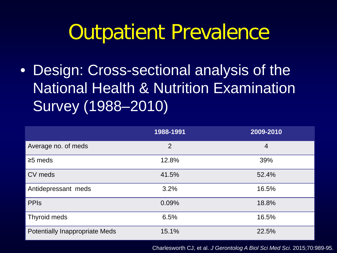• Design: Cross-sectional analysis of the National Health & Nutrition Examination Survey (1988–2010)

|                                       | 1988-1991      | 2009-2010      |
|---------------------------------------|----------------|----------------|
| Average no. of meds                   | $\overline{2}$ | $\overline{4}$ |
| $\geq$ 5 meds                         | 12.8%          | 39%            |
| CV meds                               | 41.5%          | 52.4%          |
| Antidepressant meds                   | 3.2%           | 16.5%          |
| <b>PPIS</b>                           | 0.09%          | 18.8%          |
| Thyroid meds                          | 6.5%           | 16.5%          |
| <b>Potentially Inappropriate Meds</b> | 15.1%          | 22.5%          |

Charlesworth CJ, et al. *J Gerontolog A Biol Sci Med Sci*. 2015;70:989-95.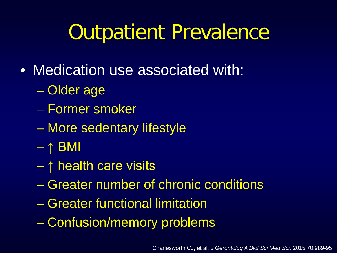- Medication use associated with:
	- Older age
	- Former smoker
	- More sedentary lifestyle
	- $\uparrow$  BMI
	- ↑ health care visits
	- Greater number of chronic conditions
	- Greater functional limitation
	- Confusion/memory problems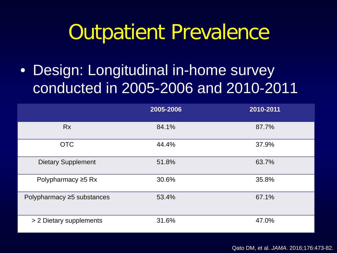• Design: Longitudinal in-home survey conducted in 2005-2006 and 2010-2011

|                            | 2005-2006 | 2010-2011 |
|----------------------------|-----------|-----------|
| <b>Rx</b>                  | 84.1%     | 87.7%     |
| <b>OTC</b>                 | 44.4%     | 37.9%     |
| <b>Dietary Supplement</b>  | 51.8%     | 63.7%     |
| Polypharmacy $\geq$ 5 Rx   | 30.6%     | 35.8%     |
| Polypharmacy ≥5 substances | 53.4%     | 67.1%     |
| > 2 Dietary supplements    | 31.6%     | 47.0%     |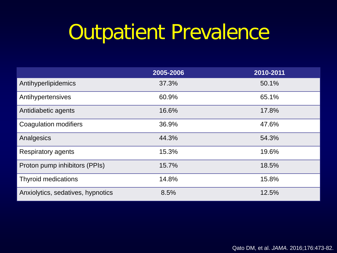|                                   | 2005-2006 | 2010-2011 |
|-----------------------------------|-----------|-----------|
| Antihyperlipidemics               | 37.3%     | 50.1%     |
| Antihypertensives                 | 60.9%     | 65.1%     |
| Antidiabetic agents               | 16.6%     | 17.8%     |
| Coagulation modifiers             | 36.9%     | 47.6%     |
| Analgesics                        | 44.3%     | 54.3%     |
| Respiratory agents                | 15.3%     | 19.6%     |
| Proton pump inhibitors (PPIs)     | 15.7%     | 18.5%     |
| <b>Thyroid medications</b>        | 14.8%     | 15.8%     |
| Anxiolytics, sedatives, hypnotics | 8.5%      | 12.5%     |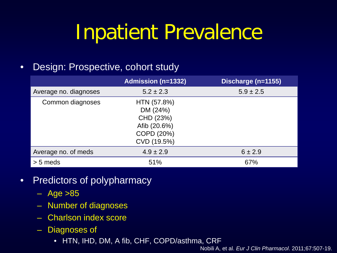#### Inpatient Prevalence

#### • Design: Prospective, cohort study

|                       | <b>Admission (n=1332)</b>                                                         | Discharge (n=1155) |
|-----------------------|-----------------------------------------------------------------------------------|--------------------|
| Average no. diagnoses | $5.2 \pm 2.3$                                                                     | $5.9 \pm 2.5$      |
| Common diagnoses      | HTN (57.8%)<br>DM (24%)<br>CHD (23%)<br>Afib (20.6%)<br>COPD (20%)<br>CVD (19.5%) |                    |
| Average no. of meds   | $4.9 \pm 2.9$                                                                     | $6 \pm 2.9$        |
| $> 5$ meds            | 51%                                                                               | 67%                |

- Predictors of polypharmacy
	- $-$  Age  $>85$
	- Number of diagnoses
	- Charlson index score
	- Diagnoses of
		- HTN, IHD, DM, A fib, CHF, COPD/asthma, CRF

Nobili A, et al. *Eur J Clin Pharmacol*. 2011;67:507-19.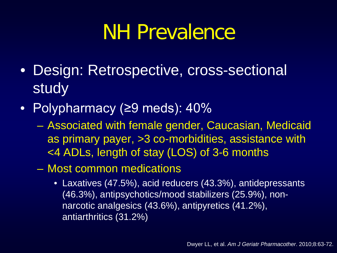#### NH Prevalence

- Design: Retrospective, cross-sectional **study**
- Polypharmacy (≥9 meds): 40%
	- Associated with female gender, Caucasian, Medicaid as primary payer, >3 co-morbidities, assistance with <4 ADLs, length of stay (LOS) of 3-6 months
	- Most common medications
		- Laxatives (47.5%), acid reducers (43.3%), antidepressants (46.3%), antipsychotics/mood stabilizers (25.9%), nonnarcotic analgesics (43.6%), antipyretics (41.2%), antiarthritics (31.2%)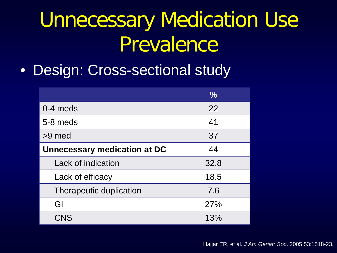#### Unnecessary Medication Use Prevalence

• Design: Cross-sectional study

|                                     | $\frac{6}{6}$ |
|-------------------------------------|---------------|
| $0-4$ meds                          | 22            |
| 5-8 meds                            | 41            |
| >9 med                              | 37            |
| <b>Unnecessary medication at DC</b> | 44            |
| Lack of indication                  | 32.8          |
| Lack of efficacy                    | 18.5          |
| Therapeutic duplication             | 7.6           |
| GI                                  | 27%           |
| <b>CNS</b>                          | 13%           |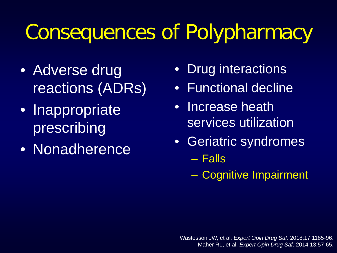#### Consequences of Polypharmacy

- Adverse drug reactions (ADRs)
- Inappropriate prescribing
- Nonadherence
- Drug interactions
- Functional decline
- Increase heath services utilization
- Geriatric syndromes – Falls
	- Cognitive Impairment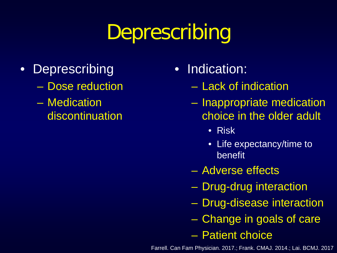## Deprescribing

- Deprescribing
	- Dose reduction
	- Medication discontinuation
- Indication:
	- Lack of indication
	- Inappropriate medication choice in the older adult
		- Risk
		- Life expectancy/time to benefit
	- Adverse effects
	- Drug-drug interaction
	- Drug-disease interaction
	- Change in goals of care
	- Patient choice

Farrell. Can Fam Physician. 2017.; Frank. CMAJ. 2014.; Lai. BCMJ. 2017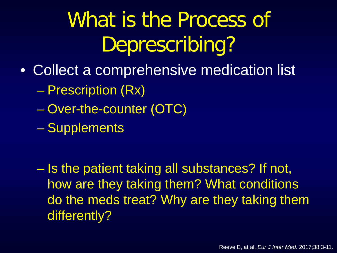- Collect a comprehensive medication list – Prescription (Rx)
	- Over-the-counter (OTC)
	- Supplements

– Is the patient taking all substances? If not, how are they taking them? What conditions do the meds treat? Why are they taking them differently?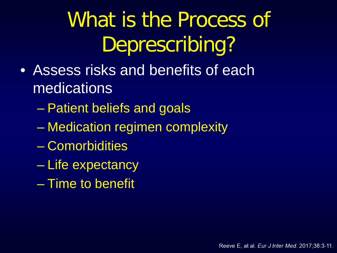- Assess risks and benefits of each medications
	- Patient beliefs and goals
	- Medication regimen complexity
	- Comorbidities
	- Life expectancy
	- Time to benefit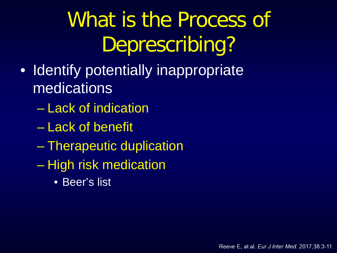- Identify potentially inappropriate medications
	- Lack of indication
	- Lack of benefit
	- Therapeutic duplication
	- High risk medication
		- Beer's list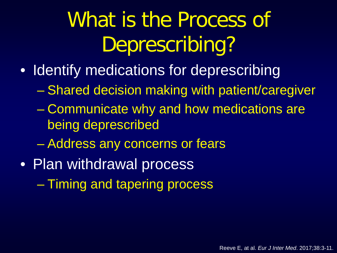- Identify medications for deprescribing
	- Shared decision making with patient/caregiver
	- Communicate why and how medications are being deprescribed
	- Address any concerns or fears
- Plan withdrawal process
	- Timing and tapering process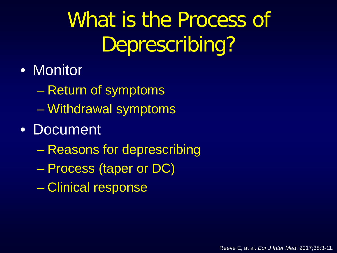- Monitor
	- Return of symptoms
	- Withdrawal symptoms
- Document
	- Reasons for deprescribing
	- Process (taper or DC)
	- Clinical response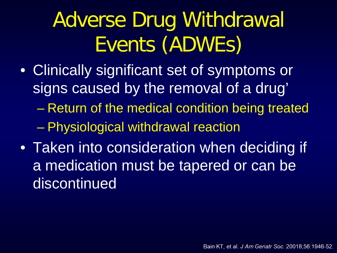## Adverse Drug Withdrawal Events (ADWEs)

- Clinically significant set of symptoms or signs caused by the removal of a drug'
	- Return of the medical condition being treated – Physiological withdrawal reaction
- Taken into consideration when deciding if a medication must be tapered or can be discontinued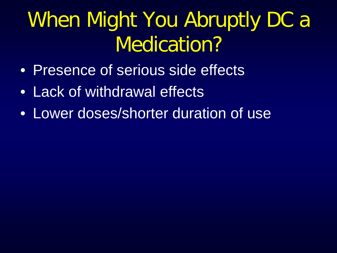### When Might You Abruptly DC a Medication?

- Presence of serious side effects
- Lack of withdrawal effects
- Lower doses/shorter duration of use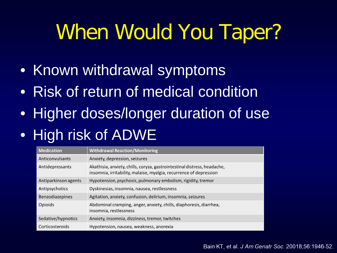#### When Would You Taper?

- Known withdrawal symptoms
- Risk of return of medical condition
- Higher doses/longer duration of use

#### • High risk of ADWE

| <b>Medication</b>    | <b>Withdrawal Reaction/Monitoring</b>                                                                                                          |
|----------------------|------------------------------------------------------------------------------------------------------------------------------------------------|
| Anticonvulsants      | Anxiety, depression, seizures                                                                                                                  |
| Antidepressants      | Akathisia, anxiety, chills, coryza, gastrointestinal distress, headache,<br>insomnia, irritability, malaise, myalgia, recurrence of depression |
| Antiparkinson agents | Hypotension, psychosis, pulmonary embolism, rigidity, tremor                                                                                   |
| Antipsychotics       | Dyskinesias, insomnia, nausea, restlessness                                                                                                    |
| Benzodiazepines      | Agitation, anxiety, confusion, delirium, insomnia, seizures                                                                                    |
| Opioids              | Abdominal cramping, anger, anxiety, chills, diaphoresis, diarrhea,<br>insomnia, restlessness                                                   |
| Sedative/hypnotics   | Anxiety, insomnia, dizziness, tremor, twitches                                                                                                 |
| Corticosteroids      | Hypotension, nausea, weakness, anorexia                                                                                                        |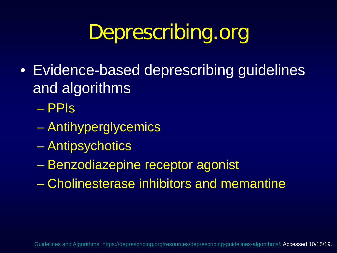#### Deprescribing.org

• Evidence-based deprescribing guidelines and algorithms

– PPIs

- Antihyperglycemics
- Antipsychotics
- Benzodiazepine receptor agonist
- Cholinesterase inhibitors and memantine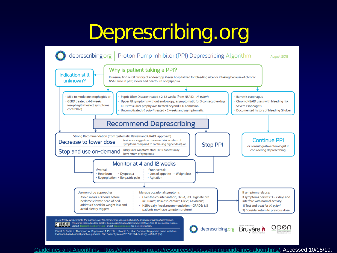#### Deprescribing.org



[Guidelines and Algorithms. https://deprescribing.org/resources/deprescribing-guidelines-algorithms/](https://deprescribing.org/resources/deprescribing-guidelines-algorithms/); Accessed 10/15/19.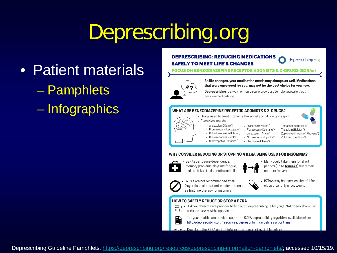#### Deprescribing.org

- Patient materials – Pamphlets
	- Infographics

#### **DEPRESCRIBING: REDUCING MEDICATIONS SAFELY TO MEET LIFE'S CHANGES**



**JS ON BENZODIAZEPINE RECEPTOR AGONISTS & Z-DRUGS (BZRAS)** 



As life changes, your medication needs may change as well. Medications that were once good for you, may not be the best choice for you now.

Deprescribing is a way for health care providers to help you safely cut back on medications.

#### **WHAT ARE BENZODIAZEPINE RECEPTOR AGONISTS & Z-DRUGS?**

- Drugs used to treat problems like anxiety or difficulty sleeping
	- · Examples include:
		- Alprazolam (Xanax<sup>®</sup>)
		- Diazepam (Valium<sup>®</sup>) - Bromazepam (Lectopam<sup>®</sup>) · Flurazepam (Dalmane\*)
		- Chlordiazepoxide (Librax\*)
			- Lorazepam (Ativan<sup>®</sup>)
		- Clonazepam (Rivotril<sup>\*</sup>)
		- Clorazepate (Tranxene<sup>®</sup>)
- · Temazepam (Restoril\*) - Triazolam (Halcion\*) · Zopiclone (Imovane<sup>®</sup>, Rhovane®)
- · Zolpidem (Sublinox\*)
- Oxazepam (Serax\*)
- Nitrazepam (Mogadon<sup>®</sup>)
	-

#### WHY CONSIDER REDUCING OR STOPPING A BZRA BEING USED FOR INSOMNIA?



BZRAs can cause dependence, memory problems, daytime fatigue, and are linked to dementia and falls

- 
- Many could take them for short periods (up to **4 weeks**) but remain on them for years



BZRAs are not recommended at all (regardless of duration) in older persons as first line therapy for insomnia

BZRAs may become less helpful for sleep after only a few weeks

#### **HOW TO SAFELY REDUCE OR STOP A BZRA**

- Ask your health care provider to find out if deprescribing is for you; BZRA doses should be ЯÅ reduced slowly with supervision
- · Tell your health care provider about the BZRA deprescribing algorithm, available online: 囜 http://deprescribing.org/resources/deprescribing-guidelines-algorithms/

Download the BZRA patient information pamphlet available online

Deprescribing Guideline Pamphlets.<https://deprescribing.org/resources/deprescribing-information-pamphlets/>; accessed 10/15/19.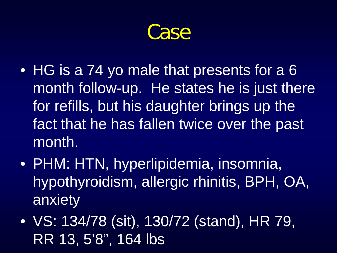Case

- HG is a 74 yo male that presents for a 6 month follow-up. He states he is just there for refills, but his daughter brings up the fact that he has fallen twice over the past month.
- PHM: HTN, hyperlipidemia, insomnia, hypothyroidism, allergic rhinitis, BPH, OA, anxiety
- VS: 134/78 (sit), 130/72 (stand), HR 79, RR 13, 5'8", 164 lbs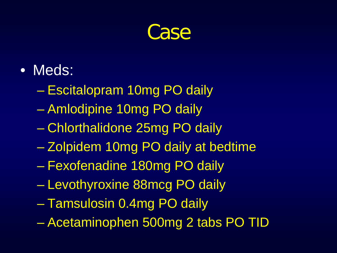#### Case

- Meds:
	- Escitalopram 10mg PO daily
	- Amlodipine 10mg PO daily
	- Chlorthalidone 25mg PO daily
	- Zolpidem 10mg PO daily at bedtime
	- Fexofenadine 180mg PO daily
	- Levothyroxine 88mcg PO daily
	- Tamsulosin 0.4mg PO daily
	- Acetaminophen 500mg 2 tabs PO TID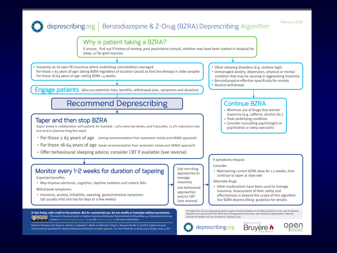#### deprescribing.org | Benzodiazepine & Z-Drug (BZRA) Deprescribing Algorithm

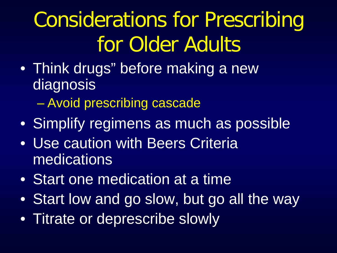## Considerations for Prescribing for Older Adults

- Think drugs" before making a new diagnosis
	- Avoid prescribing cascade
- Simplify regimens as much as possible
- Use caution with Beers Criteria medications
- Start one medication at a time
- Start low and go slow, but go all the way
- Titrate or deprescribe slowly